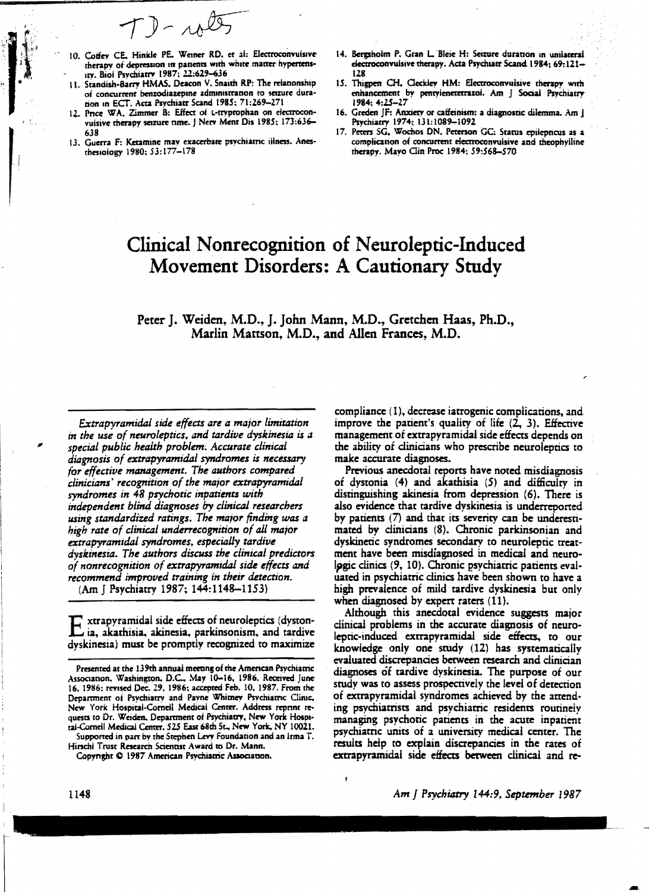$T$ ) - rote

- 10. Coffey CE, Hinkle PE, Weiner RD, et al: Electroconvulsive therapy of depression in patients with white matter hypertenstry. Biol Psychiatry 1987: 22:629-636
- 11. Standish-Barry HMAS, Deacon V, Snaith RP: The relationship of concurrent benzodiazepine administration to seizure duration in ECT. Acta Psychiatr Scand 1985; 71:269-271
- 12. Price WA, Zimmer B: Effect of t-tryptophan on electroconvulsive therapy seizure time. J Nerv Ment Dis 1985; 173:636-
- 13. Guerra F: Ketamine may exacerbate psychiatric illness. Anesthesiology 1980; 53:177-178
- 14. Bergsholm P. Gran L. Bleie H: Seizure duration in unilateral electroconvulsive therapy. Acta Psychiatr Scand. 1984: 69:121-
- 15. Thigpen CH, Cleckley HM: Electroconvulsive therapy with enhancement by pentylenetetrazol. Am J Social Psychiatry 1984; 4:25-27
- 16. Greden JF: Anxierv or catfeinism: a diagnostic dilemma. Am J Psychiatry 1974; 131:1089-1092
- 17. Peters SG, Wochos DN, Peterson GC: Status epilepticus as a complication of concurrent electroconvulsive and theophylline therapy. Mayo Clin Proc 1984; 59:568-570

# Clinical Nonrecognition of Neuroleptic-Induced Movement Disorders: A Cautionary Study

Peter J. Weiden, M.D., J. John Mann, M.D., Gretchen Haas, Ph.D., Marlin Mattson, M.D., and Allen Frances, M.D.

Extrapyramidal side effects are a major limitation in the use of neuroleptics, and tardive dyskinesia is a special public health problem. Accurate clinical diagnosis of extrapyramidal syndromes is necessary for effective management. The authors compared clinicians' recognition of the major extrapyramidal syndromes in 48 psychotic inpatients with independent blind diagnoses by clinical researchers using standardized ratings. The major finding was a high rate of clinical underrecognition of all major extrapyramidal syndromes, especially tardive dyskinesia. The authors discuss the clinical predictors of nonrecognition of extrapyramidal side effects and recommend improved training in their detection.

(Am | Psychiatry 1987; 144:1148-1153)

xtrapyramidal side effects of neuroleptics (dystonia, akathisia, akinesia, parkinsonism, and tardive dyskinesia) must be promptly recognized to maximize

Supported in part by the Stephen Levy Foundation and an Irma T. Hirschl Trust Research Scientist Award to Dr. Mann.

Copyright © 1987 American Psychiatric Association.

compliance (1), decrease iatrogenic complications, and improve the patient's quality of life (2, 3). Effective management of extrapyramidal side effects depends on the ability of clinicians who prescribe neuroleptics to make accurate diagnoses.

Previous anecdotal reports have noted misdiagnosis of dystonia (4) and akathisia (5) and difficulty in distinguishing akinesia from depression (6). There is also evidence that tardive dyskinesia is underreported by patients (7) and that its severity can be underestimated by clinicians (8). Chronic parkinsonian and dyskinetic syndromes secondary to neuroleptic treatment have been misdiagnosed in medical and neurologic clinics (9, 10). Chronic psychiatric patients evaluated in psychiatric clinics have been shown to have a high prevalence of mild tardive dyskinesia but only when diagnosed by expert raters (11).

Although this anecdotal evidence suggests major clinical problems in the accurate diagnosis of neuroleptic-induced extrapyramidal side effects, to our knowledge only one study (12) has systematically evaluated discrepancies between research and clinician diagnoses of tardive dyskinesia. The purpose of our study was to assess prospectively the level of detection of extrapyramidal syndromes achieved by the attending psychiatrists and psychiatric residents routinely managing psychotic patients in the acute inpatient psychiatric units of a university medical center. The results help to explain discrepancies in the rates of extrapyramidal side effects between clinical and re-

Presented at the 139th annual meeting of the American Psychiatric Association, Washington, D.C., May 10-16, 1986. Received June 16, 1986; revised Dec. 29, 1986; accepted Feb. 10, 1987. From the Department of Psychiatry and Payne Whitney Psychiatric Clinic, New York Hospital-Cornell Medical Center. Address reprint requests to Dr. Weiden, Department of Psychiatry, New York Hospiral-Cornell Medical Center, 525 East 68th 5t., New York, NY 10021.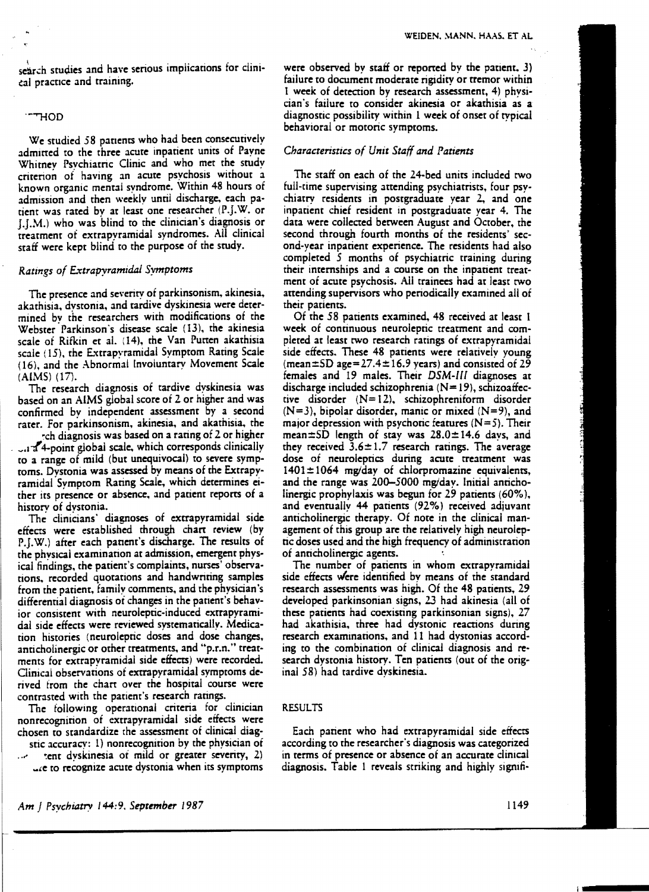search studies and have serious implications for clinieal practice and training.

#### "THOD

We studied 58 patients who had been consecutively admirred to the three acute inpatient units of Payne Whitney Psvchiatric Clinic and who met the study criterion of having an acute psychosis without a known organic mental syndrome. Within 48 hours of admission and then weekly until discharge. each patient was rated bv at least one researcher (P.J.W. or J.J.M.) who was blind to the clinician's diagnosis or treatment of extrapyramidal syndromes. All clinical staff were kept blind to the purpose of the study.

### *Ratings of E.'T:trapyramidaJ Symptoms*

The presence and severity of parkinsonism, akinesia, akathisia. dvstonia. and tardive dyskinesia were determined bv the researchers with modifications of the Webster  $Parkinson's$  disease scale  $(13)$ , the akinesia scale of Rifkin et al. (14). the Van Purren akathisia scale (15), the Extrapyramidal Symptom Rating Scale ( 16), and the Abnormal Involuntary Movement Scale  $(AIMS)$   $(17)$ .

The research diagnosis of tardive dyskinesia was based on an AIMS global score of 2 or higher and was confirmed by independent assessment by a second rater. For parkinsonism, akinesia. and akathisia. the

~ch diagnosis was based on a rating of 2 or higher  $\sim$  1<sup>1</sup>4-point global scale, which corresponds clinically to a range of mild (but unequivocal) to severe symptoms. Dystonia was assessed by means of the Extrapyramidal Symptom Rating Scale. which determines either its presence or absence, and patient reports of a historv of dvstonia.

The clinicians' diagnoses of extrapyramidal side effects were established through chart review (by P.J.W.) after each panent's discharge. The results of the physical examination at admission, emergent physical findings, the patient's complaints, nurses' observations, recorded quotations and handwriting samples from the patient, family comments, and the physician's differential diagnosis of changes in the patient's behavior consistent with neuroleptic-induced extrapyramidal side effects were reviewed systematically. Medication histories (neuroleptic doses and dose changes, anticholinergic or other treatments, and "p.r.n." treatments for extrapyramidal side effects) were recorded. Clinical observations of extrapyramidal symptoms de· rived from the chart over the hospital course were contrasted with the patient's research ratings.

The followmg operational criteria for clinician nonrecognition of extrapyramidal side effects were chosen to standardize the assessment of clinical diagstic accuracy: 1) nonrecognition by the physician of

 $t$ ent dyskinesia of mild or greater severity, 2) ... e to recognize acute dystonia when its symptoms were observed by staff or reported by the patient, 3) failure to document moderate rigidity or tremor within 1 week of detection by research assessment, 4) physician's failure to consider akinesia or akathisia as a diagnostic possibility within 1 week of onset of typical behavioral or motoric symptoms.

#### *Characteristics of Unit Staff and Patients*

The staff on each of the 24-bed units included two full-time supervising attending psychiatrists, four psychiatry residents in postgraduate year 2, and one inpatient chief resident in postgraduate year 4. The data were collected between August and October, the second through fourth months of the residents' second-year inpatient experience. The residents had also completed 5 months of psychiatric training during their internships and a course on the inpatient treatment of acute psychosis. All trainees had at least two attending supervisors who periodicaily examined all of their patients.

Of the 58 patients examined, 48 received at least 1 week of continuous neuroleptic treatment and completed at least two research ratings of extrapyramidal side effects. These 48 patients were relatively young (mean $\pm$ SD age=27.4 $\pm$ 16.9 years) and consisted of 29 females and 19 males. Their *DSM-IIl* diagnoses at discharge included schizophrenia  $(N=19)$ , schizoaffective disorder (N= 12). schizophreniform disorder  $(N=3)$ , bipolar disorder, manic or mixed  $(N=9)$ , and major depression with psychotic features  $(N = 5)$ . Their mean $\pm$ SD length of stay was 28.0 $\pm$ 14.6 days, and they received  $3.6 \pm 1.7$  research ratings. The average dose of neuroleptics during acute treatment was  $1401 \pm 1064$  mg/day of chlorpromazine equivalents, and the range was 200-5000 mg/day. Initial anticholinergic prophylaxis was begun for 29 patients (60%), and eventually 44 patients (92%) received adiuvant anticholinergic therapy, Of note in the clinical management of this group are the relatively high neuroleptic doses used and the high frequency of administration of anticholinergic agents.

The number of patients in whom extrapyramidal side effects were identified by means of the standard research assessments was high. Of the 48 patients, 29 developed parkinsonian signs, 23 had akinesia (all of these patients had coexisting parkinsonian signs), *2i*  had akathisia. three had dystonic reactions during research examinations, and 11 had dvstonias according to the combination of clinical diagnosis and research dystonia history. Ten patients (out of the original 58) had tardive dyskinesia.

#### RESULTS

Each patient who had extrapyramidal side effectS according to the researcher's diagnosis was categorized in terms of presence or absence of an accurate clinical diagnosis. Table 1 reveals striking and highly signifi-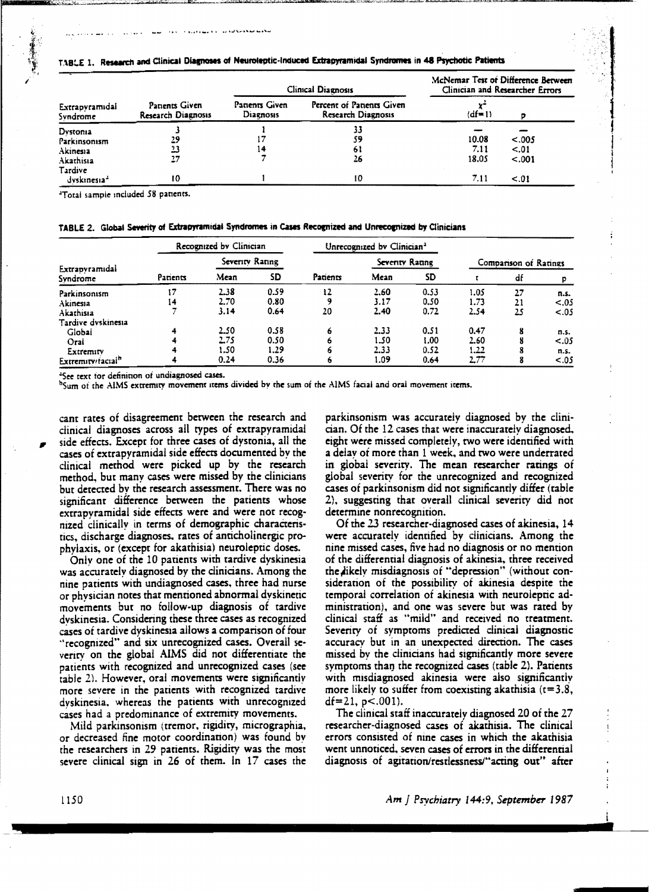#### TABLE 1. Research and Clinical Diagnoses of Neuroleptic-Induced Extrapyramidal Syndromes in 48 Psychotic Patients

| Extrapvramidal<br>Syndrome                        | Patients Given<br><b>Research Diagnosis</b> |                                    | Clinical Diagnosis                              | McNemar Test of Difference Berween<br>Clinician and Researcher Errors |                           |  |
|---------------------------------------------------|---------------------------------------------|------------------------------------|-------------------------------------------------|-----------------------------------------------------------------------|---------------------------|--|
|                                                   |                                             | Patients Given<br><b>Diagnosis</b> | Percent of Patients Given<br>Research Diagnosis | $(df=1)$                                                              |                           |  |
| Dystonia<br>Parkinsonism<br>Akinesia<br>Akathisia | 29<br>23<br>27                              |                                    | 33<br>59<br>61<br>26                            | 10.08<br>7.11<br>18.05                                                | < .005<br>< .01<br>< .001 |  |
| Tardive<br>dyskinesia <sup>a</sup>                | ŧО                                          |                                    | 10                                              | 7.11                                                                  | < .01                     |  |

<sup>2</sup>Total sample included 58 patients.

|  |  | TABLE 2. Global Severity of Extrapyramidal Syndromes in Cases Recognized and Unrecognized by Clinicians |  |  |  |  |
|--|--|---------------------------------------------------------------------------------------------------------|--|--|--|--|
|--|--|---------------------------------------------------------------------------------------------------------|--|--|--|--|

|                               | Recognized by Clinician |                 |      | Unrecognized by Clinician <sup>3</sup> |                |           |                       |    |        |
|-------------------------------|-------------------------|-----------------|------|----------------------------------------|----------------|-----------|-----------------------|----|--------|
|                               |                         | Severity Rating |      |                                        | Seventy Rating |           | Comparison of Ratings |    |        |
| Extrapyramidal<br>Syndrome    | Patients                | Mean            | SD   | Patients                               | Mean           | <b>SD</b> |                       | df |        |
| Parkinsonism                  | 17                      | 2.38            | 0.59 | 12                                     | 2.60           | 0.53      | 1.05                  | 27 | n.s.   |
| Akinesia                      | 14                      | 2.70            | 0.80 |                                        | 3.17           | 0.50      | 1.73                  |    | $-.05$ |
| Akathisia                     |                         | 3.14            | 0.64 | 20                                     | 2.40           | 0.72      | 2.54                  | 25 | < .05  |
| Tardive dvskinesia            |                         |                 |      |                                        |                |           |                       |    |        |
| Globai                        | 4                       | 2.50            | 0.58 | 6                                      | 2.33           | 0.51      | 0.47                  | 8  | n.s.   |
| Oral                          | 4                       | 2.75            | 0.50 | o                                      | 1.50           | 1.00      | 2.60                  |    | < .05  |
| Extremity                     | 4                       | l.SO            | 1.29 | o                                      | 2.33           | 0.52      | 1.22                  |    | n.s.   |
| Extremity/tacial <sup>h</sup> | 4                       | 0.24            | 0.36 |                                        | 1.09           | 0.64      | 2.77                  | o  | < .05  |

<sup>4</sup>See text for definition of undiagnosed cases.

<sup>b</sup>Sum of the AIMS extremity movement items divided by the sum of the AIMS facial and oral movement items.

cant rates of disagreement between the research and clinical diagnoses across all types of extrapyramidal side effects. Except for three cases of dystonia, all the cases of extrapyramidal side effects documented by the clinical method were picked up by the research method, but many cases were missed by the clinicians but detected by the research assessment. There was no significant difference between the patients whose extrapyramidal side effects were and were not recognized clinically in terms of demographic characteristics, discharge diagnoses, rates of anticholinergic prophylaxis, or (except for akathisia) neuroleptic doses.

Only one of the 10 patients with tardive dyskinesia was accurately diagnosed by the clinicians. Among the nine patients with undiagnosed cases, three had nurse or physician notes that mentioned abnormal dyskinetic movements but no follow-up diagnosis of tardive dyskinesia. Considering these three cases as recognized cases of tardive dyskinesia allows a comparison of four "recognized" and six unrecognized cases. Overall severity on the global AIMS did not differentiate the patients with recognized and unrecognized cases (see table 2). However, oral movements were significantly more severe in the patients with recognized tardive dyskinesia, whereas the patients with unrecognized cases had a predominance of extremity movements.

Mild parkinsonism (tremor, rigidity, micrographia, or decreased fine motor coordination) was found by the researchers in 29 patients. Rigidity was the most severe clinical sign in 26 of them. In 17 cases the parkinsonism was accurately diagnosed by the clinician. Of the 12 cases that were inaccurately diagnosed, eight were missed completely, two were identified with a delay of more than 1 week, and two were underrated in global severity. The mean researcher ratings of global severity for the unrecognized and recognized cases of parkinsonism did not significantly differ (table 2), suggesting that overall clinical severity did not determine nonrecognition.

Of the 23 researcher-diagnosed cases of akinesia, 14 were accurately identified by clinicians. Among the nine missed cases, five had no diagnosis or no mention of the differential diagnosis of akinesia, three received the likely misdiagnosis of "depression" (without consideration of the possibility of akinesia despite the temporal correlation of akinesia with neuroleptic administration), and one was severe but was rated by clinical staff as "mild" and received no treatment. Severity of symptoms predicted clinical diagnostic accuracy but in an unexpected direction. The cases missed by the clinicians had significantly more severe symptoms than the recognized cases (table 2). Patients with misdiagnosed akinesia were also significantly more likely to suffer from coexisting akathisia  $(t=3.8,$  $df=21$ ,  $p<.001$ ).

The clinical staff inaccurately diagnosed 20 of the 27 researcher-diagnosed cases of akathisia. The clinical errors consisted of nine cases in which the akathisia went unnoticed, seven cases of errors in the differential diagnosis of agitation/restlessness/"acting out" after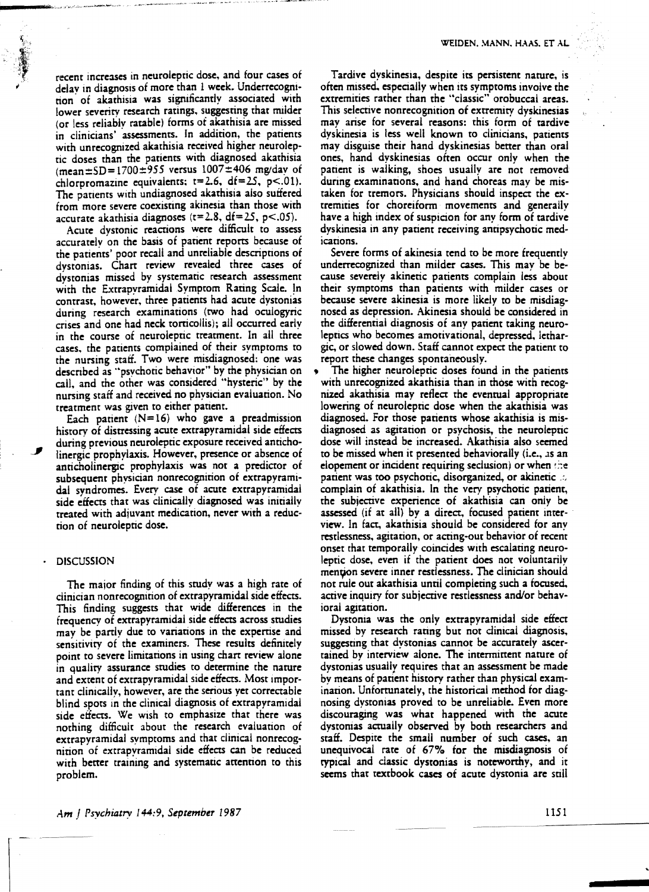recent increases in neuroleptic dose. and four cases of delay in diagnosis of more than 1 week. Underrecognition of akathisia was significantly associated with lower severity research ratings. suggesting that milder (or less reliably ratable) forms of akathisia are missed in clinicians' assessments. In addition, the patients with unrecognized akathisia received higher neurolep' tic doses than the patients with diagnosed akathisia (mean $\pm$ SD=1700 $\pm$ 955 versus 1007 $\pm$ 406 mg/dav of chlorpromazine equivalents;  $t=2.6$ ,  $df=25$ ,  $p<.01$ ). The patients with undiagnosed akathisia also suffered from more severe coexisting akinesia than those with accurate akathisia diagnoses  $(t=2.8, df=25, p<.05)$ .

Acute dystonic reactions were difficult to assess accurately on the basis of patient reports because of the patients' poor recall and unreliable descriptions of dysronias. Chart review revealed three cases of dystonias missed by systematic research assessment with the Extrapyramidal Symptom Rating Scale. In contrast, however, three patients had acute dystonias during research examinations (two had oculogyric crises and one had neck torricollis); all occurred early in the course of neuroleptic treatment. In all three cases, the patients complained of their symptoms to the nursing staff. Two were misdiagnosed: one was descnbed as "psychotic behavior" by the physician on call, and the other was considered "hysteric" by the nursing staff and received no physician evaluation. No treatment was given to either patient.

Each patient  $(N=16)$  who gave a preadmission history of distressing acute extrapyramidal side effects during previous neuroleptic exposure received anticholinergic prophylaxis. However, presence or absence of anticholinergic prophylaxis was not a predictor of subsequent physician nonrecognition of extrapyramidal syndromes. Every case of acute extrapyramidal side effects that was clinically diagnosed was initially treated with adjuvant medication. never with a reduction of neuroleptic dose.

#### **DISCUSSION**

The maior finding of this study was a high rate of dinician nonrecognition of extrapyramidal side effects. This finding suggests that wide differences in the frequency of extrapyramidal side effects across studies may be partly due to variations in the experrise and sensitivity of the examiners. These results definitely point to severe limitations in using chart review alone in quality assurance studies to determine the nature and extent of extrapyramidal side effects. Most important dinically, however, are the serious yet correctable blind spots in the clinical diagnosis of extrapyramidal side effeCts. We wish to emphasize that there was nothing difficult about the research evaluation of extrapyramidal symptoms and that dinical nonrecognition of extrapyramidal side effeers can be reduced with better training and systematic attention to this problem.

Tardive dyskinesia, despite its persistent nature. is often missed. especially when its symptoms involve the extremities rather than the "classic" orobuccal areas. This selective nonrecognition of extremity dyskinesias may arise for several reasons: this form of tardive dyskinesia is less well known to clinicians, patients may disguise their hand dyskinesias better than oral ones. hand dyskinesias often occur only when the patient is walking, shoes usually are not removed during examinations, and hand choreas may be mistaken for tremors. Physicians should inspect the extremities for choreiform movements and generally have a high index of suspicion for any form of tardive dyskinesia in any patient receiving antipsychotic medications.

Severe forms of akinesia tend to be more frequently underrecognized than milder cases. This may be because severely akinetic patients complain less about their symptoms than patients with milder cases or because severe akinesia is more likely to be misdiagnosed as depression. Akinesia should be considered in the differential diagnosis of any patient taking neuroleptics who becomes amotivational, depressed. lethargic, or slowed down. Staff cannot expect the patient to report these changes spontaneously.

The higher neuroleptic doses found in the patients with unrecognized akathisia than in those with recognized akathisia may reflect the eventual appropriate lowering of neuroleptic dose when the akathisia was diagnosed. For those patients whose akathisia is misdiagnosed as agitation or psychosis, the neuroleptic dose will instead be increased. Akathisia also seemed to be missed when it presented behaviorally (i.e., as an elopement or incident requiring seclusion) or when  $\therefore$ patient was too psychotic, disorganized, or akinetic ... complain of akathisia. In the very psychotic patient, the subjective experience of akathisia can only be assessed (if at all) by a direct, focused patient interview. In fact, akathisia should be considered for anv restlessness, agitation, or acting-out behavior of recent onset that temporally coincides with escalating neuroleptic dose. even if the patient does not voluntarily mention severe inner restlessness. The clinician should not rule OUt akathisia until completing such a focused, active inquiry for subjective restlessness and/or behavioral agitation.

Dystonia was the only extrapyramidal side effect missed by research rating but not clinical diagnosis. suggesting that dystonias cannot be accurately ascertained by interview alone. The intermittent nature of dystonias usually requires that an assessment be made by means of patient history rather than physical examination. Unfortunately, the historical method for diagnosing dystonias proved to be unreliable. Even more discouraging was what happened with the acute dystonias actually observed by both researchers and staff. Despite the small number of such cases, an unequivocal rate of 67% for the misdiagnosis of rypical and classic dystonias is noteworthy, and it seems that textbook cases of acute dystonia are still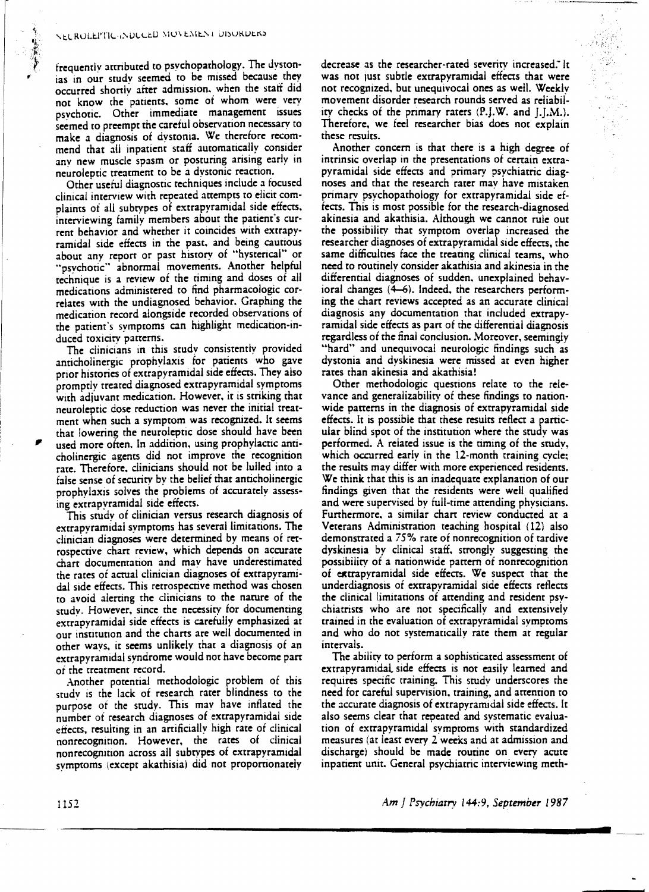frequently attributed to psvchopathology. The Jystonias in our study seemed to be missed because they occurred shortly after admission. when the staff did not know the patients, some of whom were very psychotic. Other immediate management issues seemed to preempt the careful observation necessary to make a diagnosis of dystonia. We therefore recommend that all inpatient staff automatically consider any new muscle spasm or posturing arising early in neuroleptic treatment to be a dystonic reaction.

Other useful diagnostic techniques include a tocused clinical interview with repeated attempts to elicit complaints of all subtypes of extrapyramidal side effects, interviewing family members about the patient's current behavior and whether it coincides with extrapyramidal side effects in the past. and being cautious about any report or past history of "hysterical" or "psychotic" abnormal movements. Another helpful technique is a review of the timing and doses of all medications administered to find pharmacologic correlates with the undiagnosed behavior. Graphing the medication record alongside recorded observations of the patient's symptoms can highlight medication-induced toxicity patterns.

The clinicians in this study consistently provided anticholinergic prophylaxis for patients who gave prior histories of extrapyramidal side effects. They also promptly treated diagnosed extrapyramidal symptoms with adjuvant medication. However. it is striking that neuroleptic dose reduction was never the initial treatment when such a symptom was recognized. It seems that lowering the neuroleptic dose should have been used more often. In addition, using prophylactic anticholinergic agents did not improve the recognition rate. Therefore. clinicians should not be lulled into a false sense of security by the belief that anticholinergic prophylaxis solves the problems of accurately assessing extrapyramidal side effects.

This study of clinician versus research diagnosis of extrapyramidal symptoms has several limitations. The clinician diagnoses were determined by means of rerrospective chart review. which depends on accurate chart documentation and may have underestimated the rates of actual clinician diagnoses of extrapyramidal side effects. This retrospective method was chosen to avoid alerting the clinicians to the nature of the study. However. since the necessity for documenting extrapyramidal side effects is carefully emphasized at our institution and the charts are well documented in other ways. it seems unlikely that a diagnosis of an extrapyramidal syndrome would not have become part ot the treatment record.

Another potential methodologic problem of this studv is the lack of research rater blindness to the purpose of the study. This may have inflated the number of research diagnoses of extrapyramidal side effects. resulting in an artificially high rate of clinical nonrecognition. However. the rates of clinical nonrecognition across all subtypes of extrapyramidal symptoms (except akathisial did not proportionately decrease as the researcher-rated severity increased: It was not just subtle extrapyramidal effects that were not recognized. but unequivocal ones as well. Weekly movement disorder research rounds served as reliability checks of the primary raters  $(P,J,W.$  and  $J,[M])$ . Therefore. we feel researcher bias does not explain these results.

Another concern is that there is a high degree of intrinsic overlap in the presentations of certain extrapyramidal side effects and primary psychiatric diagnoses and that the research rater mav have mistaken primary psychopathology for extrapyramidal side effects. This is most possible for the research-diagnosed akinesia and akathisia. Although we cannot rule out the possibility that symptom overlap increased the researcher diagnoses of extrapyramidal side effects, the same difficulties face the treating clinical teams, who need to routinelv consider akathisia and akinesia in the differential diagnoses of sudden, unexplained behavioral changes (4-6). Indeed. the researchers performing the chart reviews accepted as an accurate clinical diagnosis any documentation that included extrapyramidal side effects as part of the differential diagnosis regardless of the final conclusion. Moreover. seemingly "hard" and unequivocal neurologic findings such as dystonia and dyskinesia were missed at even higher rates than akinesia and akathisia!

Other methodologic questions relate to the relevance and generalizability of these findings to nationwide patterns in the diagnosis of extrapyramidal side effects. It is possible that these results reflect a particular blind spOt of the institution where the study was performed. A related issue is the timing of the study, which occurred early in the 12-month training cycle; the results may differ with more experienced residents. We think that this is an inadequate explanation of our findings given that the residents were well qualified and were supervised by full-time attending physicians. Furthermore. a similar chart review conducted at a Veterans Administration teaching hospital (12) also demonstrated a 75% rate of nonrecognition of tardive dyskinesia by clinical staff. strongly suggesting the possibility of a nationwide pattern of nonrecognition of extrapyramidal side effects. We suspect that the underdiagnosis of extrapyramidal side effects reflects the clinical limitations of attending and resident psychiatrists who are not specifically and extensively trained in the evaluation of extrapyramidal symptoms and who do not systematically rate them at regular intervals.

The ability to perform a sophisticated assessment of extrapyramidal side effects is not easily learned and requires specific training. This study underscores the need for careful supervision. training. and attention to the accurate diagnosis of extrapyramidal side effects. It also seems clear that repeated and systematic evaluation of extrapyramidal symptoms with standardized measures (at least every 2 weeks and at admission and discharge) should be made routine on every acute inpatient unit. General psychiatric interviewing meth